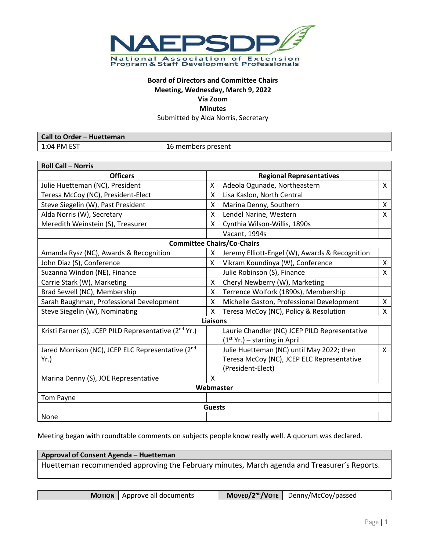

# **Board of Directors and Committee Chairs Meeting, Wednesday, March 9, 2022**

**Via Zoom Minutes**

Submitted by Alda Norris, Secretary

| <b>Call to Order - Huetteman</b> |                    |
|----------------------------------|--------------------|
| $1:04$ PM EST                    | 16 members present |

| <b>Roll Call - Norris</b>                                         |    |                                                |   |  |  |  |
|-------------------------------------------------------------------|----|------------------------------------------------|---|--|--|--|
| <b>Officers</b>                                                   |    | <b>Regional Representatives</b>                |   |  |  |  |
| Julie Huetteman (NC), President                                   |    | Adeola Ogunade, Northeastern                   | X |  |  |  |
| Teresa McCoy (NC), President-Elect                                |    | Lisa Kaslon, North Central                     |   |  |  |  |
| Steve Siegelin (W), Past President                                |    | Marina Denny, Southern                         |   |  |  |  |
| Alda Norris (W), Secretary                                        |    | Lendel Narine, Western                         |   |  |  |  |
| Meredith Weinstein (S), Treasurer                                 |    | Cynthia Wilson-Willis, 1890s                   |   |  |  |  |
|                                                                   |    | Vacant, 1994s                                  |   |  |  |  |
| <b>Committee Chairs/Co-Chairs</b>                                 |    |                                                |   |  |  |  |
| Amanda Rysz (NC), Awards & Recognition                            | x  | Jeremy Elliott-Engel (W), Awards & Recognition |   |  |  |  |
| John Diaz (S), Conference                                         |    | Vikram Koundinya (W), Conference               | X |  |  |  |
| Suzanna Windon (NE), Finance                                      |    | Julie Robinson (S), Finance                    | X |  |  |  |
| Carrie Stark (W), Marketing                                       | X. | Cheryl Newberry (W), Marketing                 |   |  |  |  |
| Brad Sewell (NC), Membership                                      | X  | Terrence Wolfork (1890s), Membership           |   |  |  |  |
| Sarah Baughman, Professional Development                          | X  | Michelle Gaston, Professional Development      | X |  |  |  |
| X<br>Steve Siegelin (W), Nominating                               |    | Teresa McCoy (NC), Policy & Resolution         | X |  |  |  |
| <b>Liaisons</b>                                                   |    |                                                |   |  |  |  |
| Kristi Farner (S), JCEP PILD Representative (2 <sup>nd</sup> Yr.) |    | Laurie Chandler (NC) JCEP PILD Representative  |   |  |  |  |
|                                                                   |    | $(1st Yr.)$ – starting in April                |   |  |  |  |
| Jared Morrison (NC), JCEP ELC Representative (2nd                 |    | Julie Huetteman (NC) until May 2022; then      | X |  |  |  |
| Yr.                                                               |    | Teresa McCoy (NC), JCEP ELC Representative     |   |  |  |  |
|                                                                   |    | (President-Elect)                              |   |  |  |  |
| Marina Denny (S), JOE Representative                              | X  |                                                |   |  |  |  |
| Webmaster                                                         |    |                                                |   |  |  |  |
| Tom Payne                                                         |    |                                                |   |  |  |  |
| <b>Guests</b>                                                     |    |                                                |   |  |  |  |
| None                                                              |    |                                                |   |  |  |  |

Meeting began with roundtable comments on subjects people know really well. A quorum was declared.

**Approval of Consent Agenda – Huetteman** Huetteman recommended approving the February minutes, March agenda and Treasurer's Reports.

| <b>MOTION</b>   Approve all documents | $\blacksquare$ Moved/2 <sup>ND</sup> /VOTE $\blacksquare$ Denny/McCoy/passed |
|---------------------------------------|------------------------------------------------------------------------------|
|                                       |                                                                              |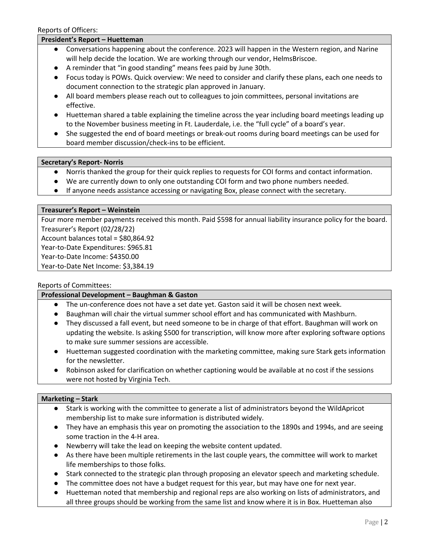## **President's Report – Huetteman**

- Conversations happening about the conference. 2023 will happen in the Western region, and Narine will help decide the location. We are working through our vendor, HelmsBriscoe.
- A reminder that "in good standing" means fees paid by June 30th.
- Focus today is POWs. Quick overview: We need to consider and clarify these plans, each one needs to document connection to the strategic plan approved in January.
- All board members please reach out to colleagues to join committees, personal invitations are effective.
- Huetteman shared a table explaining the timeline across the year including board meetings leading up to the November business meeting in Ft. Lauderdale, i.e. the "full cycle" of a board's year.
- She suggested the end of board meetings or break-out rooms during board meetings can be used for board member discussion/check-ins to be efficient.

### **Secretary's Report- Norris**

- Norris thanked the group for their quick replies to requests for COI forms and contact information.
- We are currently down to only one outstanding COI form and two phone numbers needed.
- If anyone needs assistance accessing or navigating Box, please connect with the secretary.

#### **Treasurer's Report – Weinstein**

Four more member payments received this month. Paid \$598 for annual liability insurance policy for the board. Treasurer's Report (02/28/22) Account balances total = \$80,864.92 Year-to-Date Expenditures: \$965.81 Year-to-Date Income: \$4350.00

Year-to-Date Net Income: \$3,384.19

### Reports of Committees:

### **Professional Development – Baughman & Gaston**

- The un-conference does not have a set date yet. Gaston said it will be chosen next week.
- Baughman will chair the virtual summer school effort and has communicated with Mashburn.
- They discussed a fall event, but need someone to be in charge of that effort. Baughman will work on updating the website. Is asking \$500 for transcription, will know more after exploring software options to make sure summer sessions are accessible.
- Huetteman suggested coordination with the marketing committee, making sure Stark gets information for the newsletter.
- Robinson asked for clarification on whether captioning would be available at no cost if the sessions were not hosted by Virginia Tech.

### **Marketing – Stark**

- Stark is working with the committee to generate a list of administrators beyond the WildApricot membership list to make sure information is distributed widely.
- They have an emphasis this year on promoting the association to the 1890s and 1994s, and are seeing some traction in the 4-H area.
- Newberry will take the lead on keeping the website content updated.
- As there have been multiple retirements in the last couple years, the committee will work to market life memberships to those folks.
- Stark connected to the strategic plan through proposing an elevator speech and marketing schedule.
- The committee does not have a budget request for this year, but may have one for next year.
- Huetteman noted that membership and regional reps are also working on lists of administrators, and all three groups should be working from the same list and know where it is in Box. Huetteman also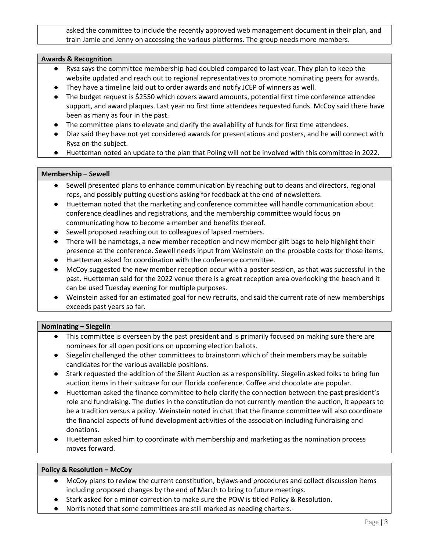asked the committee to include the recently approved web management document in their plan, and train Jamie and Jenny on accessing the various platforms. The group needs more members.

## **Awards & Recognition**

- Rysz says the committee membership had doubled compared to last year. They plan to keep the website updated and reach out to regional representatives to promote nominating peers for awards.
- They have a timeline laid out to order awards and notify JCEP of winners as well.
- The budget request is \$2550 which covers award amounts, potential first time conference attendee support, and award plaques. Last year no first time attendees requested funds. McCoy said there have been as many as four in the past.
- The committee plans to elevate and clarify the availability of funds for first time attendees.
- Diaz said they have not yet considered awards for presentations and posters, and he will connect with Rysz on the subject.
- Huetteman noted an update to the plan that Poling will not be involved with this committee in 2022.

### **Membership – Sewell**

- Sewell presented plans to enhance communication by reaching out to deans and directors, regional reps, and possibly putting questions asking for feedback at the end of newsletters.
- Huetteman noted that the marketing and conference committee will handle communication about conference deadlines and registrations, and the membership committee would focus on communicating how to become a member and benefits thereof.
- Sewell proposed reaching out to colleagues of lapsed members.
- There will be nametags, a new member reception and new member gift bags to help highlight their presence at the conference. Sewell needs input from Weinstein on the probable costs for those items.
- Huetteman asked for coordination with the conference committee.
- McCoy suggested the new member reception occur with a poster session, as that was successful in the past. Huetteman said for the 2022 venue there is a great reception area overlooking the beach and it can be used Tuesday evening for multiple purposes.
- Weinstein asked for an estimated goal for new recruits, and said the current rate of new memberships exceeds past years so far.

# **Nominating – Siegelin**

- This committee is overseen by the past president and is primarily focused on making sure there are nominees for all open positions on upcoming election ballots.
- Siegelin challenged the other committees to brainstorm which of their members may be suitable candidates for the various available positions.
- Stark requested the addition of the Silent Auction as a responsibility. Siegelin asked folks to bring fun auction items in their suitcase for our Florida conference. Coffee and chocolate are popular.
- Huetteman asked the finance committee to help clarify the connection between the past president's role and fundraising. The duties in the constitution do not currently mention the auction, it appears to be a tradition versus a policy. Weinstein noted in chat that the finance committee will also coordinate the financial aspects of fund development activities of the association including fundraising and donations.
- Huetteman asked him to coordinate with membership and marketing as the nomination process moves forward.

### **Policy & Resolution – McCoy**

- McCoy plans to review the current constitution, bylaws and procedures and collect discussion items including proposed changes by the end of March to bring to future meetings.
- Stark asked for a minor correction to make sure the POW is titled Policy & Resolution.
- Norris noted that some committees are still marked as needing charters.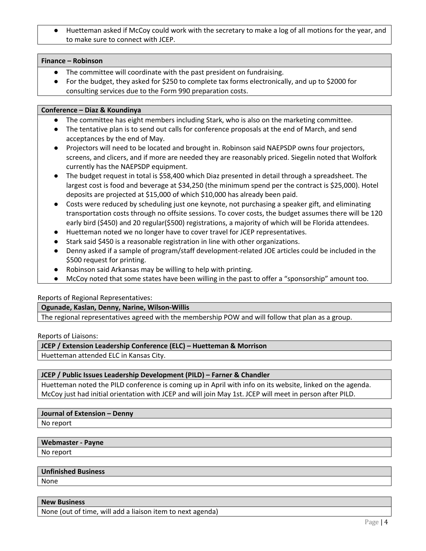Huetteman asked if McCoy could work with the secretary to make a log of all motions for the year, and to make sure to connect with JCEP.

### **Finance – Robinson**

- The committee will coordinate with the past president on fundraising.
- For the budget, they asked for \$250 to complete tax forms electronically, and up to \$2000 for consulting services due to the Form 990 preparation costs.

### **Conference – Diaz & Koundinya**

- The committee has eight members including Stark, who is also on the marketing committee.
- The tentative plan is to send out calls for conference proposals at the end of March, and send acceptances by the end of May.
- Projectors will need to be located and brought in. Robinson said NAEPSDP owns four projectors, screens, and clicers, and if more are needed they are reasonably priced. Siegelin noted that Wolfork currently has the NAEPSDP equipment.
- The budget request in total is \$58,400 which Diaz presented in detail through a spreadsheet. The largest cost is food and beverage at \$34,250 (the minimum spend per the contract is \$25,000). Hotel deposits are projected at \$15,000 of which \$10,000 has already been paid.
- Costs were reduced by scheduling just one keynote, not purchasing a speaker gift, and eliminating transportation costs through no offsite sessions. To cover costs, the budget assumes there will be 120 early bird (\$450) and 20 regular(\$500) registrations, a majority of which will be Florida attendees.
- Huetteman noted we no longer have to cover travel for JCEP representatives.
- Stark said \$450 is a reasonable registration in line with other organizations.
- Denny asked if a sample of program/staff development-related JOE articles could be included in the \$500 request for printing.
- Robinson said Arkansas may be willing to help with printing.
- McCoy noted that some states have been willing in the past to offer a "sponsorship" amount too.

# Reports of Regional Representatives:

### **Ogunade, Kaslan, Denny, Narine, Wilson-Willis**

The regional representatives agreed with the membership POW and will follow that plan as a group.

Reports of Liaisons:

# **JCEP / Extension Leadership Conference (ELC) – Huetteman & Morrison**

Huetteman attended ELC in Kansas City.

# **JCEP / Public Issues Leadership Development (PILD) – Farner & Chandler**

Huetteman noted the PILD conference is coming up in April with info on its website, linked on the agenda. McCoy just had initial orientation with JCEP and will join May 1st. JCEP will meet in person after PILD.

### **Journal of Extension – Denny**

No report

### **Webmaster - Payne**

No report

# **Unfinished Business**

None

# **New Business**

None (out of time, will add a liaison item to next agenda)